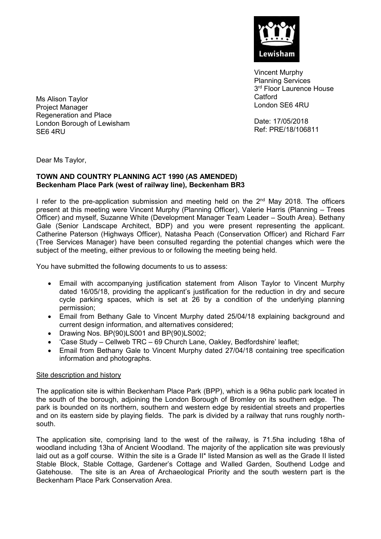

Vincent Murphy Planning Services 3<sup>rd</sup> Floor Laurence House **Catford** London SE6 4RU

Date: 17/05/2018 Ref: PRE/18/106811

Ms Alison Taylor Project Manager Regeneration and Place London Borough of Lewisham SE6 4RU

Dear Ms Taylor,

## **TOWN AND COUNTRY PLANNING ACT 1990 (AS AMENDED) Beckenham Place Park (west of railway line), Beckenham BR3**

I refer to the pre-application submission and meeting held on the 2<sup>nd</sup> May 2018. The officers present at this meeting were Vincent Murphy (Planning Officer), Valerie Harris (Planning – Trees Officer) and myself, Suzanne White (Development Manager Team Leader – South Area). Bethany Gale (Senior Landscape Architect, BDP) and you were present representing the applicant. Catherine Paterson (Highways Officer), Natasha Peach (Conservation Officer) and Richard Farr (Tree Services Manager) have been consulted regarding the potential changes which were the subject of the meeting, either previous to or following the meeting being held.

You have submitted the following documents to us to assess:

- Email with accompanying justification statement from Alison Taylor to Vincent Murphy dated 16/05/18, providing the applicant's justification for the reduction in dry and secure cycle parking spaces, which is set at 26 by a condition of the underlying planning permission;
- Email from Bethany Gale to Vincent Murphy dated 25/04/18 explaining background and current design information, and alternatives considered;
- Drawing Nos. BP(90)LS001 and BP(90)LS002;
- 'Case Study Cellweb TRC 69 Church Lane, Oakley, Bedfordshire' leaflet;
- Email from Bethany Gale to Vincent Murphy dated 27/04/18 containing tree specification information and photographs.

### Site description and history

The application site is within Beckenham Place Park (BPP), which is a 96ha public park located in the south of the borough, adjoining the London Borough of Bromley on its southern edge. The park is bounded on its northern, southern and western edge by residential streets and properties and on its eastern side by playing fields. The park is divided by a railway that runs roughly northsouth.

The application site, comprising land to the west of the railway, is 71.5ha including 18ha of woodland including 13ha of Ancient Woodland. The majority of the application site was previously laid out as a golf course. Within the site is a Grade II\* listed Mansion as well as the Grade II listed Stable Block, Stable Cottage, Gardener's Cottage and Walled Garden, Southend Lodge and Gatehouse. The site is an Area of Archaeological Priority and the south western part is the Beckenham Place Park Conservation Area.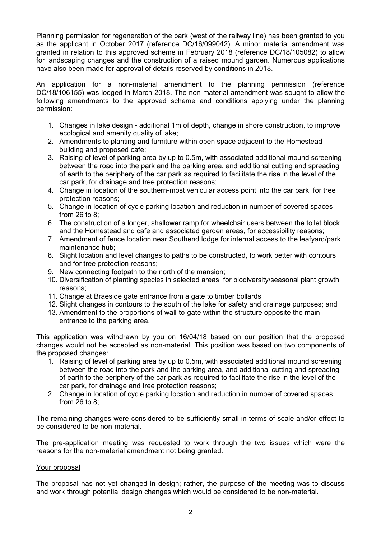Planning permission for regeneration of the park (west of the railway line) has been granted to you as the applicant in October 2017 (reference DC/16/099042). A minor material amendment was granted in relation to this approved scheme in February 2018 (reference DC/18/105082) to allow for landscaping changes and the construction of a raised mound garden. Numerous applications have also been made for approval of details reserved by conditions in 2018.

An application for a non-material amendment to the planning permission (reference DC/18/106155) was lodged in March 2018. The non-material amendment was sought to allow the following amendments to the approved scheme and conditions applying under the planning permission:

- 1. Changes in lake design additional 1m of depth, change in shore construction, to improve ecological and amenity quality of lake;
- 2. Amendments to planting and furniture within open space adjacent to the Homestead building and proposed cafe;
- 3. Raising of level of parking area by up to 0.5m, with associated additional mound screening between the road into the park and the parking area, and additional cutting and spreading of earth to the periphery of the car park as required to facilitate the rise in the level of the car park, for drainage and tree protection reasons;
- 4. Change in location of the southern-most vehicular access point into the car park, for tree protection reasons;
- 5. Change in location of cycle parking location and reduction in number of covered spaces from 26 to 8;
- 6. The construction of a longer, shallower ramp for wheelchair users between the toilet block and the Homestead and cafe and associated garden areas, for accessibility reasons;
- 7. Amendment of fence location near Southend lodge for internal access to the leafyard/park maintenance hub;
- 8. Slight location and level changes to paths to be constructed, to work better with contours and for tree protection reasons;
- 9. New connecting footpath to the north of the mansion;
- 10. Diversification of planting species in selected areas, for biodiversity/seasonal plant growth reasons;
- 11. Change at Braeside gate entrance from a gate to timber bollards;
- 12. Slight changes in contours to the south of the lake for safety and drainage purposes; and
- 13. Amendment to the proportions of wall-to-gate within the structure opposite the main entrance to the parking area.

This application was withdrawn by you on 16/04/18 based on our position that the proposed changes would not be accepted as non-material. This position was based on two components of the proposed changes:

- 1. Raising of level of parking area by up to 0.5m, with associated additional mound screening between the road into the park and the parking area, and additional cutting and spreading of earth to the periphery of the car park as required to facilitate the rise in the level of the car park, for drainage and tree protection reasons;
- 2. Change in location of cycle parking location and reduction in number of covered spaces from 26 to 8;

The remaining changes were considered to be sufficiently small in terms of scale and/or effect to be considered to be non-material.

The pre-application meeting was requested to work through the two issues which were the reasons for the non-material amendment not being granted.

### Your proposal

The proposal has not yet changed in design; rather, the purpose of the meeting was to discuss and work through potential design changes which would be considered to be non-material.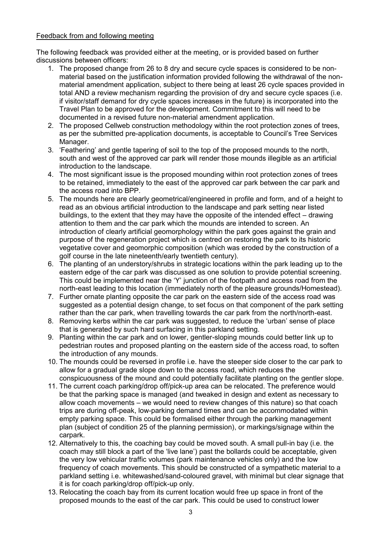# Feedback from and following meeting

The following feedback was provided either at the meeting, or is provided based on further discussions between officers:

- 1. The proposed change from 26 to 8 dry and secure cycle spaces is considered to be nonmaterial based on the justification information provided following the withdrawal of the nonmaterial amendment application, subject to there being at least 26 cycle spaces provided in total AND a review mechanism regarding the provision of dry and secure cycle spaces (i.e. if visitor/staff demand for dry cycle spaces increases in the future) is incorporated into the Travel Plan to be approved for the development. Commitment to this will need to be documented in a revised future non-material amendment application.
- 2. The proposed Cellweb construction methodology within the root protection zones of trees, as per the submitted pre-application documents, is acceptable to Council's Tree Services Manager.
- 3. 'Feathering' and gentle tapering of soil to the top of the proposed mounds to the north, south and west of the approved car park will render those mounds illegible as an artificial introduction to the landscape.
- 4. The most significant issue is the proposed mounding within root protection zones of trees to be retained, immediately to the east of the approved car park between the car park and the access road into BPP.
- 5. The mounds here are clearly geometrical/engineered in profile and form, and of a height to read as an obvious artificial introduction to the landscape and park setting near listed buildings, to the extent that they may have the opposite of the intended effect – drawing attention to them and the car park which the mounds are intended to screen. An introduction of clearly artificial geomorphology within the park goes against the grain and purpose of the regeneration project which is centred on restoring the park to its historic vegetative cover and geomorphic composition (which was eroded by the construction of a golf course in the late nineteenth/early twentieth century).
- 6. The planting of an understory/shrubs in strategic locations within the park leading up to the eastern edge of the car park was discussed as one solution to provide potential screening. This could be implemented near the 'Y' junction of the footpath and access road from the north-east leading to this location (immediately north of the pleasure grounds/Homestead).
- 7. Further ornate planting opposite the car park on the eastern side of the access road was suggested as a potential design change, to set focus on that component of the park setting rather than the car park, when travelling towards the car park from the north/north-east.
- 8. Removing kerbs within the car park was suggested, to reduce the 'urban' sense of place that is generated by such hard surfacing in this parkland setting.
- 9. Planting within the car park and on lower, gentler-sloping mounds could better link up to pedestrian routes and proposed planting on the eastern side of the access road, to soften the introduction of any mounds.
- 10. The mounds could be reversed in profile i.e. have the steeper side closer to the car park to allow for a gradual grade slope down to the access road, which reduces the conspicuousness of the mound and could potentially facilitate planting on the gentler slope.
- 11. The current coach parking/drop off/pick-up area can be relocated. The preference would be that the parking space is managed (and tweaked in design and extent as necessary to allow coach movements – we would need to review changes of this nature) so that coach trips are during off-peak, low-parking demand times and can be accommodated within empty parking space. This could be formalised either through the parking management plan (subject of condition 25 of the planning permission), or markings/signage within the carpark.
- 12. Alternatively to this, the coaching bay could be moved south. A small pull-in bay (i.e. the coach may still block a part of the 'live lane') past the bollards could be acceptable, given the very low vehicular traffic volumes (park maintenance vehicles only) and the low frequency of coach movements. This should be constructed of a sympathetic material to a parkland setting i.e. whitewashed/sand-coloured gravel, with minimal but clear signage that it is for coach parking/drop off/pick-up only.
- 13. Relocating the coach bay from its current location would free up space in front of the proposed mounds to the east of the car park. This could be used to construct lower